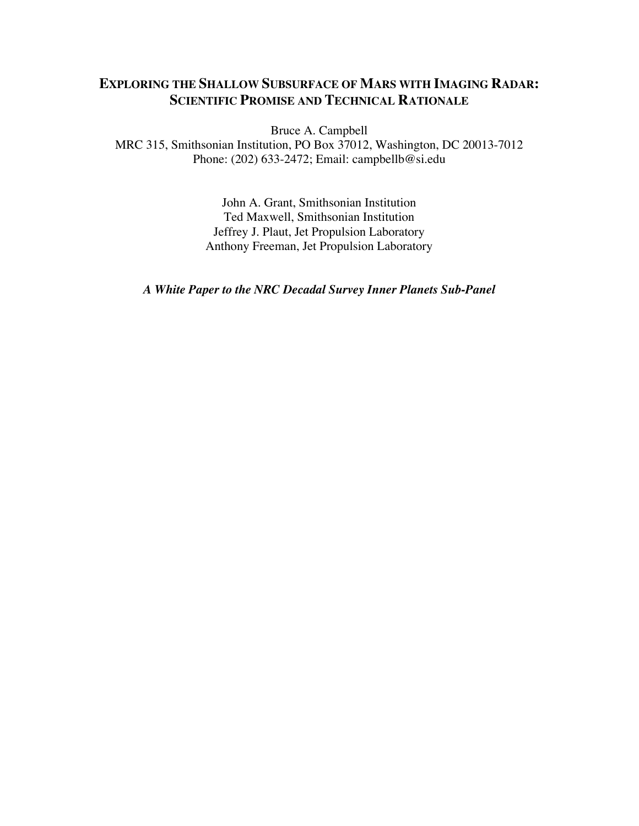# **EXPLORING THE SHALLOW SUBSURFACE OF MARS WITH IMAGING RADAR: SCIENTIFIC PROMISE AND TECHNICAL RATIONALE**

Bruce A. Campbell

MRC 315, Smithsonian Institution, PO Box 37012, Washington, DC 20013-7012 Phone: (202) 633-2472; Email: campbellb@si.edu

> John A. Grant, Smithsonian Institution Ted Maxwell, Smithsonian Institution Jeffrey J. Plaut, Jet Propulsion Laboratory Anthony Freeman, Jet Propulsion Laboratory

*A White Paper to the NRC Decadal Survey Inner Planets Sub-Panel*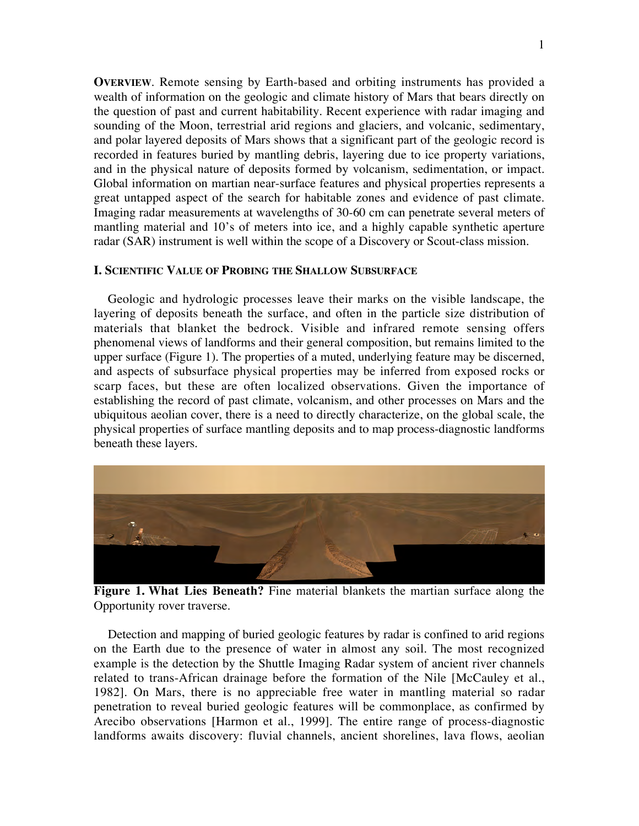**OVERVIEW**. Remote sensing by Earth-based and orbiting instruments has provided a wealth of information on the geologic and climate history of Mars that bears directly on the question of past and current habitability. Recent experience with radar imaging and sounding of the Moon, terrestrial arid regions and glaciers, and volcanic, sedimentary, and polar layered deposits of Mars shows that a significant part of the geologic record is recorded in features buried by mantling debris, layering due to ice property variations, and in the physical nature of deposits formed by volcanism, sedimentation, or impact. Global information on martian near-surface features and physical properties represents a great untapped aspect of the search for habitable zones and evidence of past climate. Imaging radar measurements at wavelengths of 30-60 cm can penetrate several meters of mantling material and 10's of meters into ice, and a highly capable synthetic aperture radar (SAR) instrument is well within the scope of a Discovery or Scout-class mission.

### **I. SCIENTIFIC VALUE OF PROBING THE SHALLOW SUBSURFACE**

Geologic and hydrologic processes leave their marks on the visible landscape, the layering of deposits beneath the surface, and often in the particle size distribution of materials that blanket the bedrock. Visible and infrared remote sensing offers phenomenal views of landforms and their general composition, but remains limited to the upper surface (Figure 1). The properties of a muted, underlying feature may be discerned, and aspects of subsurface physical properties may be inferred from exposed rocks or scarp faces, but these are often localized observations. Given the importance of establishing the record of past climate, volcanism, and other processes on Mars and the ubiquitous aeolian cover, there is a need to directly characterize, on the global scale, the physical properties of surface mantling deposits and to map process-diagnostic landforms beneath these layers.



**Figure 1. What Lies Beneath?** Fine material blankets the martian surface along the Opportunity rover traverse.

Detection and mapping of buried geologic features by radar is confined to arid regions on the Earth due to the presence of water in almost any soil. The most recognized example is the detection by the Shuttle Imaging Radar system of ancient river channels related to trans-African drainage before the formation of the Nile [McCauley et al., 1982]. On Mars, there is no appreciable free water in mantling material so radar penetration to reveal buried geologic features will be commonplace, as confirmed by Arecibo observations [Harmon et al., 1999]. The entire range of process-diagnostic landforms awaits discovery: fluvial channels, ancient shorelines, lava flows, aeolian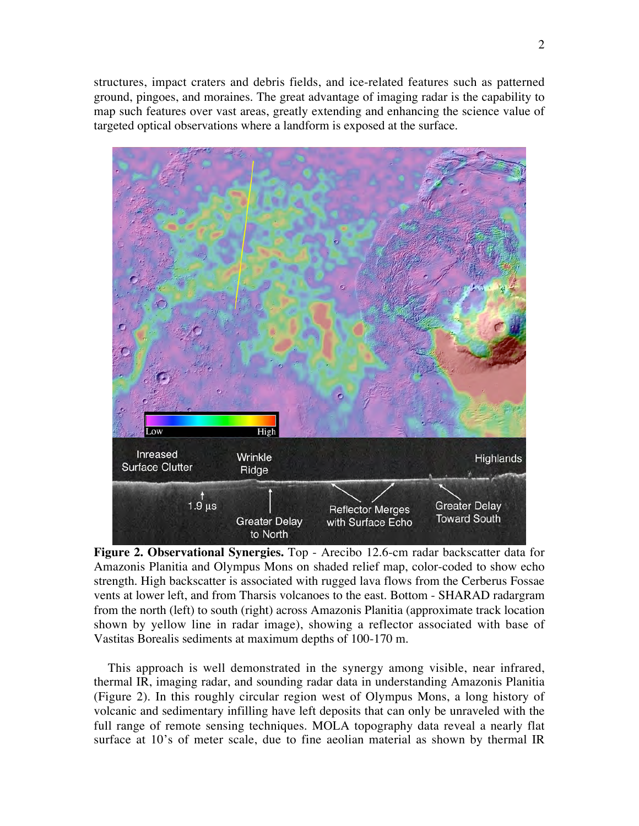structures, impact craters and debris fields, and ice-related features such as patterned ground, pingoes, and moraines. The great advantage of imaging radar is the capability to map such features over vast areas, greatly extending and enhancing the science value of targeted optical observations where a landform is exposed at the surface.



**Figure 2. Observational Synergies.** Top - Arecibo 12.6-cm radar backscatter data for Amazonis Planitia and Olympus Mons on shaded relief map, color-coded to show echo strength. High backscatter is associated with rugged lava flows from the Cerberus Fossae vents at lower left, and from Tharsis volcanoes to the east. Bottom - SHARAD radargram from the north (left) to south (right) across Amazonis Planitia (approximate track location shown by yellow line in radar image), showing a reflector associated with base of Vastitas Borealis sediments at maximum depths of 100-170 m.

This approach is well demonstrated in the synergy among visible, near infrared, thermal IR, imaging radar, and sounding radar data in understanding Amazonis Planitia (Figure 2). In this roughly circular region west of Olympus Mons, a long history of volcanic and sedimentary infilling have left deposits that can only be unraveled with the full range of remote sensing techniques. MOLA topography data reveal a nearly flat surface at 10's of meter scale, due to fine aeolian material as shown by thermal IR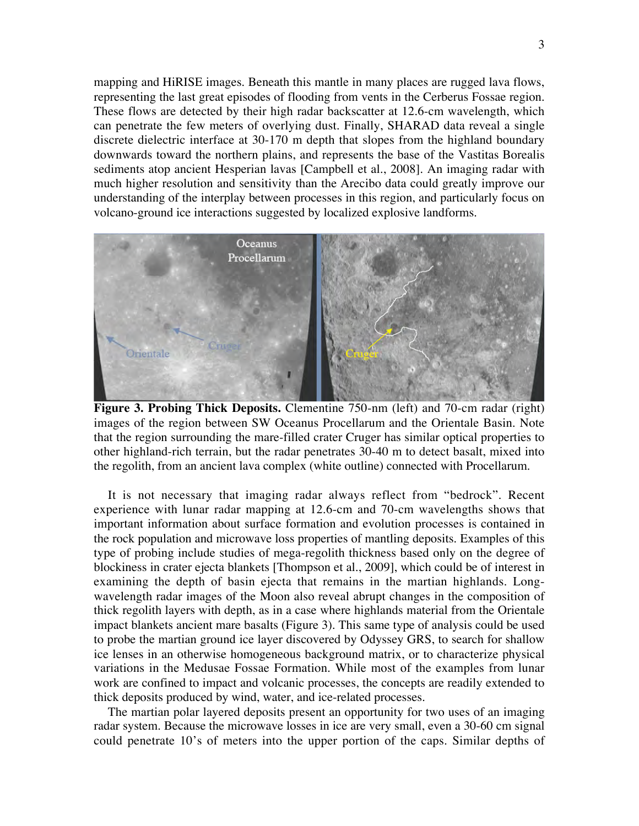mapping and HiRISE images. Beneath this mantle in many places are rugged lava flows, representing the last great episodes of flooding from vents in the Cerberus Fossae region. These flows are detected by their high radar backscatter at 12.6-cm wavelength, which can penetrate the few meters of overlying dust. Finally, SHARAD data reveal a single discrete dielectric interface at 30-170 m depth that slopes from the highland boundary downwards toward the northern plains, and represents the base of the Vastitas Borealis sediments atop ancient Hesperian lavas [Campbell et al., 2008]. An imaging radar with much higher resolution and sensitivity than the Arecibo data could greatly improve our understanding of the interplay between processes in this region, and particularly focus on volcano-ground ice interactions suggested by localized explosive landforms.



**Figure 3. Probing Thick Deposits.** Clementine 750-nm (left) and 70-cm radar (right) images of the region between SW Oceanus Procellarum and the Orientale Basin. Note that the region surrounding the mare-filled crater Cruger has similar optical properties to other highland-rich terrain, but the radar penetrates 30-40 m to detect basalt, mixed into the regolith, from an ancient lava complex (white outline) connected with Procellarum.

It is not necessary that imaging radar always reflect from "bedrock". Recent experience with lunar radar mapping at 12.6-cm and 70-cm wavelengths shows that important information about surface formation and evolution processes is contained in the rock population and microwave loss properties of mantling deposits. Examples of this type of probing include studies of mega-regolith thickness based only on the degree of blockiness in crater ejecta blankets [Thompson et al., 2009], which could be of interest in examining the depth of basin ejecta that remains in the martian highlands. Longwavelength radar images of the Moon also reveal abrupt changes in the composition of thick regolith layers with depth, as in a case where highlands material from the Orientale impact blankets ancient mare basalts (Figure 3). This same type of analysis could be used to probe the martian ground ice layer discovered by Odyssey GRS, to search for shallow ice lenses in an otherwise homogeneous background matrix, or to characterize physical variations in the Medusae Fossae Formation. While most of the examples from lunar work are confined to impact and volcanic processes, the concepts are readily extended to thick deposits produced by wind, water, and ice-related processes.

The martian polar layered deposits present an opportunity for two uses of an imaging radar system. Because the microwave losses in ice are very small, even a 30-60 cm signal could penetrate 10's of meters into the upper portion of the caps. Similar depths of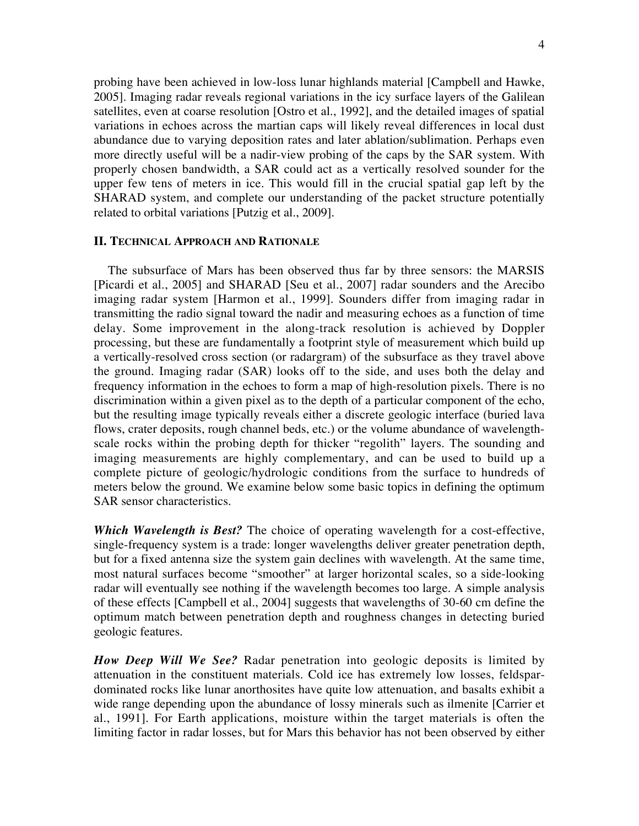probing have been achieved in low-loss lunar highlands material [Campbell and Hawke, 2005]. Imaging radar reveals regional variations in the icy surface layers of the Galilean satellites, even at coarse resolution [Ostro et al., 1992], and the detailed images of spatial variations in echoes across the martian caps will likely reveal differences in local dust abundance due to varying deposition rates and later ablation/sublimation. Perhaps even more directly useful will be a nadir-view probing of the caps by the SAR system. With properly chosen bandwidth, a SAR could act as a vertically resolved sounder for the upper few tens of meters in ice. This would fill in the crucial spatial gap left by the SHARAD system, and complete our understanding of the packet structure potentially related to orbital variations [Putzig et al., 2009].

### **II. TECHNICAL APPROACH AND RATIONALE**

The subsurface of Mars has been observed thus far by three sensors: the MARSIS [Picardi et al., 2005] and SHARAD [Seu et al., 2007] radar sounders and the Arecibo imaging radar system [Harmon et al., 1999]. Sounders differ from imaging radar in transmitting the radio signal toward the nadir and measuring echoes as a function of time delay. Some improvement in the along-track resolution is achieved by Doppler processing, but these are fundamentally a footprint style of measurement which build up a vertically-resolved cross section (or radargram) of the subsurface as they travel above the ground. Imaging radar (SAR) looks off to the side, and uses both the delay and frequency information in the echoes to form a map of high-resolution pixels. There is no discrimination within a given pixel as to the depth of a particular component of the echo, but the resulting image typically reveals either a discrete geologic interface (buried lava flows, crater deposits, rough channel beds, etc.) or the volume abundance of wavelengthscale rocks within the probing depth for thicker "regolith" layers. The sounding and imaging measurements are highly complementary, and can be used to build up a complete picture of geologic/hydrologic conditions from the surface to hundreds of meters below the ground. We examine below some basic topics in defining the optimum SAR sensor characteristics.

*Which Wavelength is Best?* The choice of operating wavelength for a cost-effective, single-frequency system is a trade: longer wavelengths deliver greater penetration depth, but for a fixed antenna size the system gain declines with wavelength. At the same time, most natural surfaces become "smoother" at larger horizontal scales, so a side-looking radar will eventually see nothing if the wavelength becomes too large. A simple analysis of these effects [Campbell et al., 2004] suggests that wavelengths of 30-60 cm define the optimum match between penetration depth and roughness changes in detecting buried geologic features.

*How Deep Will We See?* Radar penetration into geologic deposits is limited by attenuation in the constituent materials. Cold ice has extremely low losses, feldspardominated rocks like lunar anorthosites have quite low attenuation, and basalts exhibit a wide range depending upon the abundance of lossy minerals such as ilmenite [Carrier et al., 1991]. For Earth applications, moisture within the target materials is often the limiting factor in radar losses, but for Mars this behavior has not been observed by either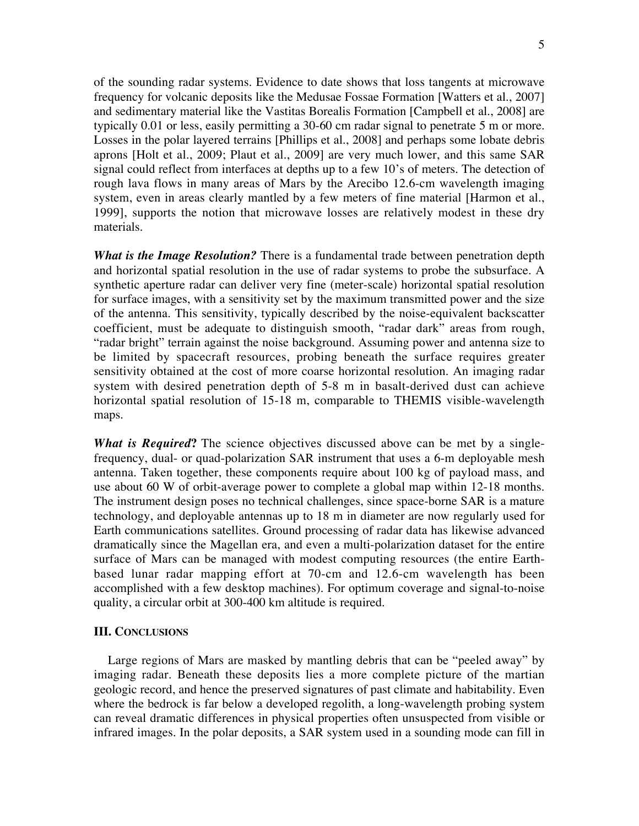of the sounding radar systems. Evidence to date shows that loss tangents at microwave frequency for volcanic deposits like the Medusae Fossae Formation [Watters et al., 2007] and sedimentary material like the Vastitas Borealis Formation [Campbell et al., 2008] are typically 0.01 or less, easily permitting a 30-60 cm radar signal to penetrate 5 m or more. Losses in the polar layered terrains [Phillips et al., 2008] and perhaps some lobate debris aprons [Holt et al., 2009; Plaut et al., 2009] are very much lower, and this same SAR signal could reflect from interfaces at depths up to a few 10's of meters. The detection of rough lava flows in many areas of Mars by the Arecibo 12.6-cm wavelength imaging system, even in areas clearly mantled by a few meters of fine material [Harmon et al., 1999], supports the notion that microwave losses are relatively modest in these dry materials.

*What is the Image Resolution?* There is a fundamental trade between penetration depth and horizontal spatial resolution in the use of radar systems to probe the subsurface. A synthetic aperture radar can deliver very fine (meter-scale) horizontal spatial resolution for surface images, with a sensitivity set by the maximum transmitted power and the size of the antenna. This sensitivity, typically described by the noise-equivalent backscatter coefficient, must be adequate to distinguish smooth, "radar dark" areas from rough, "radar bright" terrain against the noise background. Assuming power and antenna size to be limited by spacecraft resources, probing beneath the surface requires greater sensitivity obtained at the cost of more coarse horizontal resolution. An imaging radar system with desired penetration depth of 5-8 m in basalt-derived dust can achieve horizontal spatial resolution of 15-18 m, comparable to THEMIS visible-wavelength maps.

*What is Required***?** The science objectives discussed above can be met by a singlefrequency, dual- or quad-polarization SAR instrument that uses a 6-m deployable mesh antenna. Taken together, these components require about 100 kg of payload mass, and use about 60 W of orbit-average power to complete a global map within 12-18 months. The instrument design poses no technical challenges, since space-borne SAR is a mature technology, and deployable antennas up to 18 m in diameter are now regularly used for Earth communications satellites. Ground processing of radar data has likewise advanced dramatically since the Magellan era, and even a multi-polarization dataset for the entire surface of Mars can be managed with modest computing resources (the entire Earthbased lunar radar mapping effort at 70-cm and 12.6-cm wavelength has been accomplished with a few desktop machines). For optimum coverage and signal-to-noise quality, a circular orbit at 300-400 km altitude is required.

#### **III. CONCLUSIONS**

Large regions of Mars are masked by mantling debris that can be "peeled away" by imaging radar. Beneath these deposits lies a more complete picture of the martian geologic record, and hence the preserved signatures of past climate and habitability. Even where the bedrock is far below a developed regolith, a long-wavelength probing system can reveal dramatic differences in physical properties often unsuspected from visible or infrared images. In the polar deposits, a SAR system used in a sounding mode can fill in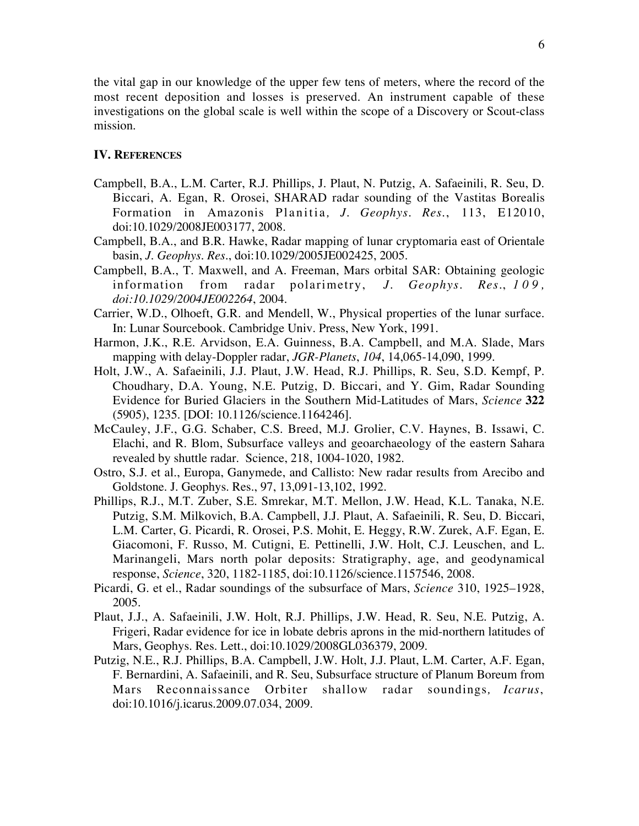the vital gap in our knowledge of the upper few tens of meters, where the record of the most recent deposition and losses is preserved. An instrument capable of these investigations on the global scale is well within the scope of a Discovery or Scout-class mission.

## **IV. REFERENCES**

- Campbell, B.A., L.M. Carter, R.J. Phillips, J. Plaut, N. Putzig, A. Safaeinili, R. Seu, D. Biccari, A. Egan, R. Orosei, SHARAD radar sounding of the Vastitas Borealis Formation in Amazonis Planitia *, J. Geophys. Res*., 113, E12010, doi:10.1029/2008JE003177, 2008.
- Campbell, B.A., and B.R. Hawke, Radar mapping of lunar cryptomaria east of Orientale basin, *J. Geophys. Res*., doi:10.1029/2005JE002425, 2005.
- Campbell, B.A., T. Maxwell, and A. Freeman, Mars orbital SAR: Obtaining geologic information from radar polarimetry, *J. Geophys. Res*., *109, doi:10.1029/2004JE002264*, 2004.
- Carrier, W.D., Olhoeft, G.R. and Mendell, W., Physical properties of the lunar surface. In: Lunar Sourcebook. Cambridge Univ. Press, New York, 1991.
- Harmon, J.K., R.E. Arvidson, E.A. Guinness, B.A. Campbell, and M.A. Slade, Mars mapping with delay-Doppler radar, *JGR-Planets*, *104*, 14,065-14,090, 1999.
- Holt, J.W., A. Safaeinili, J.J. Plaut, J.W. Head, R.J. Phillips, R. Seu, S.D. Kempf, P. Choudhary, D.A. Young, N.E. Putzig, D. Biccari, and Y. Gim, Radar Sounding Evidence for Buried Glaciers in the Southern Mid-Latitudes of Mars, *Science* **322** (5905), 1235. [DOI: 10.1126/science.1164246].
- McCauley, J.F., G.G. Schaber, C.S. Breed, M.J. Grolier, C.V. Haynes, B. Issawi, C. Elachi, and R. Blom, Subsurface valleys and geoarchaeology of the eastern Sahara revealed by shuttle radar. Science, 218, 1004-1020, 1982.
- Ostro, S.J. et al., Europa, Ganymede, and Callisto: New radar results from Arecibo and Goldstone. J. Geophys. Res., 97, 13,091-13,102, 1992.
- Phillips, R.J., M.T. Zuber, S.E. Smrekar, M.T. Mellon, J.W. Head, K.L. Tanaka, N.E. Putzig, S.M. Milkovich, B.A. Campbell, J.J. Plaut, A. Safaeinili, R. Seu, D. Biccari, L.M. Carter, G. Picardi, R. Orosei, P.S. Mohit, E. Heggy, R.W. Zurek, A.F. Egan, E. Giacomoni, F. Russo, M. Cutigni, E. Pettinelli, J.W. Holt, C.J. Leuschen, and L. Marinangeli, Mars north polar deposits: Stratigraphy, age, and geodynamical response, *Science*, 320, 1182-1185, doi:10.1126/science.1157546, 2008.
- Picardi, G. et el., Radar soundings of the subsurface of Mars, *Science* 310, 1925–1928, 2005.
- Plaut, J.J., A. Safaeinili, J.W. Holt, R.J. Phillips, J.W. Head, R. Seu, N.E. Putzig, A. Frigeri, Radar evidence for ice in lobate debris aprons in the mid-northern latitudes of Mars, Geophys. Res. Lett., doi:10.1029/2008GL036379, 2009.
- Putzig, N.E., R.J. Phillips, B.A. Campbell, J.W. Holt, J.J. Plaut, L.M. Carter, A.F. Egan, F. Bernardini, A. Safaeinili, and R. Seu, Subsurface structure of Planum Boreum from Mars Reconnaissance Orbiter shallow radar soundings*, Icarus*, doi:10.1016/j.icarus.2009.07.034, 2009.